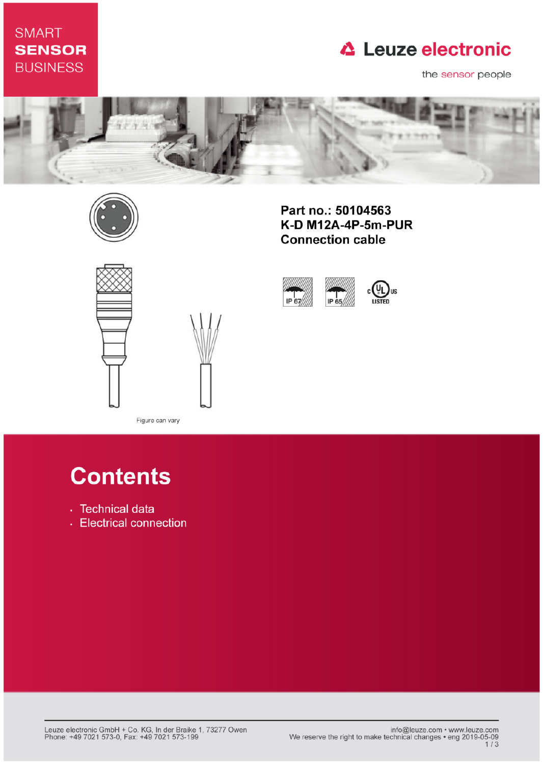## **SMART SENSOR BUSINESS**

## **△ Leuze electronic**

the sensor people



IP 67



Part no.: 50104563 K-D M12A-4P-5m-PUR **Connection cable** 

IP 65





Figure can vary

# **Contents**

- · Technical data
- Electrical connection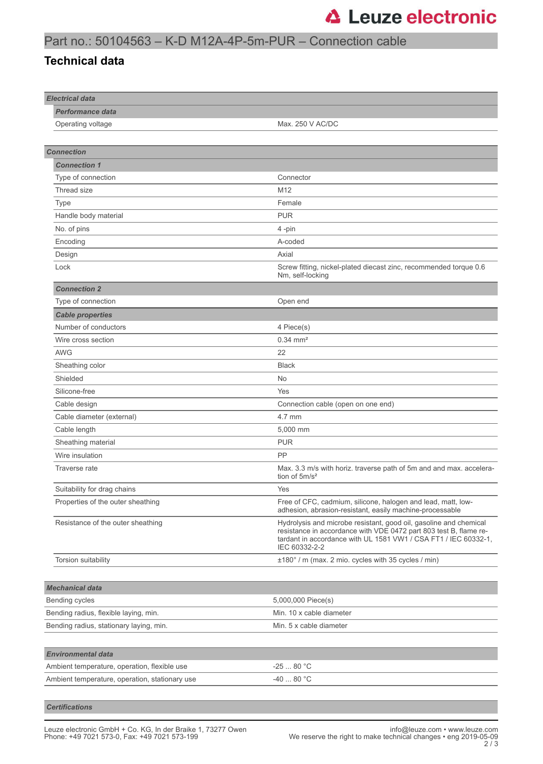#### Part no.: 50104563 – K-D M12A-4P-5m-PUR – Connection cable

#### **Technical data**

| <b>Electrical data</b>                         |                                                                                                                                                                                                                            |
|------------------------------------------------|----------------------------------------------------------------------------------------------------------------------------------------------------------------------------------------------------------------------------|
| <b>Performance data</b>                        |                                                                                                                                                                                                                            |
| Operating voltage                              | Max. 250 V AC/DC                                                                                                                                                                                                           |
|                                                |                                                                                                                                                                                                                            |
| <b>Connection</b>                              |                                                                                                                                                                                                                            |
| <b>Connection 1</b>                            |                                                                                                                                                                                                                            |
| Type of connection                             | Connector                                                                                                                                                                                                                  |
| Thread size                                    | M <sub>12</sub>                                                                                                                                                                                                            |
| <b>Type</b>                                    | Female                                                                                                                                                                                                                     |
| Handle body material                           | <b>PUR</b>                                                                                                                                                                                                                 |
| No. of pins                                    | 4-pin                                                                                                                                                                                                                      |
| Encoding                                       | A-coded                                                                                                                                                                                                                    |
| Design                                         | Axial                                                                                                                                                                                                                      |
| Lock                                           | Screw fitting, nickel-plated diecast zinc, recommended torque 0.6<br>Nm, self-locking                                                                                                                                      |
| <b>Connection 2</b>                            |                                                                                                                                                                                                                            |
| Type of connection                             | Open end                                                                                                                                                                                                                   |
| <b>Cable properties</b>                        |                                                                                                                                                                                                                            |
| Number of conductors                           | 4 Piece(s)                                                                                                                                                                                                                 |
| Wire cross section                             | $0.34 \, \text{mm}^2$                                                                                                                                                                                                      |
| <b>AWG</b>                                     | 22                                                                                                                                                                                                                         |
| Sheathing color                                | <b>Black</b>                                                                                                                                                                                                               |
| Shielded                                       | <b>No</b>                                                                                                                                                                                                                  |
| Silicone-free                                  | Yes                                                                                                                                                                                                                        |
| Cable design                                   | Connection cable (open on one end)                                                                                                                                                                                         |
| Cable diameter (external)                      | 4.7 mm                                                                                                                                                                                                                     |
| Cable length                                   | 5,000 mm                                                                                                                                                                                                                   |
| Sheathing material                             | <b>PUR</b>                                                                                                                                                                                                                 |
| Wire insulation                                | PP                                                                                                                                                                                                                         |
| Traverse rate                                  | Max. 3.3 m/s with horiz. traverse path of 5m and and max. accelera-<br>tion of $5m/s^2$                                                                                                                                    |
| Suitability for drag chains                    | Yes                                                                                                                                                                                                                        |
| Properties of the outer sheathing              | Free of CFC, cadmium, silicone, halogen and lead, matt, low-<br>adhesion, abrasion-resistant, easily machine-processable                                                                                                   |
| Resistance of the outer sheathing              | Hydrolysis and microbe resistant, good oil, gasoline and chemical<br>resistance in accordance with VDE 0472 part 803 test B, flame re-<br>tardant in accordance with UL 1581 VW1 / CSA FT1 / IEC 60332-1,<br>IEC 60332-2-2 |
| Torsion suitability                            | ±180° / m (max. 2 mio. cycles with 35 cycles / min)                                                                                                                                                                        |
|                                                |                                                                                                                                                                                                                            |
| <b>Mechanical data</b>                         |                                                                                                                                                                                                                            |
| Bending cycles                                 | 5,000,000 Piece(s)                                                                                                                                                                                                         |
| Bending radius, flexible laying, min.          | Min. 10 x cable diameter                                                                                                                                                                                                   |
| Bending radius, stationary laying, min.        | Min. 5 x cable diameter                                                                                                                                                                                                    |
|                                                |                                                                                                                                                                                                                            |
| <b>Environmental data</b>                      |                                                                                                                                                                                                                            |
| Ambient temperature, operation, flexible use   | -25  80 °C                                                                                                                                                                                                                 |
| Ambient temperature, operation, stationary use | -40  80 °C                                                                                                                                                                                                                 |
|                                                |                                                                                                                                                                                                                            |